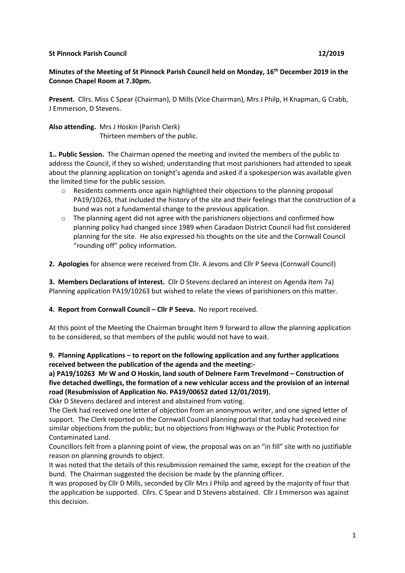## **St Pinnock Parish Council 12/2019**

# **Minutes of the Meeting of St Pinnock Parish Council held on Monday, 16th December 2019 in the Connon Chapel Room at 7.30pm.**

**Present.** Cllrs. Miss C Spear (Chairman), D Mills (Vice Chairman), Mrs J Philp, H Knapman, G Crabb, J Emmerson, D Stevens.

**Also attending.** Mrs J Hoskin (Parish Clerk) Thirteen members of the public.

**1.. Public Session.** The Chairman opened the meeting and invited the members of the public to address the Council, if they so wished; understanding that most parishioners had attended to speak about the planning application on tonight's agenda and asked if a spokesperson was available given the limited time for the public session.

- $\circ$  Residents comments once again highlighted their objections to the planning proposal PA19/10263, that included the history of the site and their feelings that the construction of a bund was not a fundamental change to the previous application.
- $\circ$  The planning agent did not agree with the parishioners objections and confirmed how planning policy had changed since 1989 when Caradaon District Council had fist considered planning for the site. He also expressed his thoughts on the site and the Cornwall Council "rounding off" policy information.

**2. Apologies** for absence were received from Cllr. A Jevons and Cllr P Seeva (Cornwall Council)

**3. Members Declarations of Interest.** Cllr D Stevens declared an interest on Agenda Item 7a) Planning application PA19/10263 but wished to relate the views of parishioners on this matter.

**4. Report from Cornwall Council – Cllr P Seeva.** No report received.

At this point of the Meeting the Chairman brought Item 9 forward to allow the planning application to be considered, so that members of the public would not have to wait.

**9. Planning Applications – to report on the following application and any further applications received between the publication of the agenda and the meeting:-**

**a) PA19/10263 Mr W and O Hoskin, land south of Delmere Farm Trevelmond – Construction of five detached dwellings, the formation of a new vehicular access and the provision of an internal road (Resubmission of Application No. PA19/00652 dated 12/01/2019).**

Ckkr D Stevens declared and interest and abstained from voting.

The Clerk had received one letter of objection from an anonymous writer, and one signed letter of support. The Clerk reported on the Cornwall Council planning portal that today had received nine similar objections from the public; but no objections from Highways or the Public Protection for Contaminated Land.

Councillors felt from a planning point of view, the proposal was on an "in fill" site with no justifiable reason on planning grounds to object.

It was noted that the details of this resubmission remained the same, except for the creation of the bund. The Chairman suggested the decision be made by the planning officer.

It was proposed by Cllr D Mills, seconded by Cllr Mrs J Philp and agreed by the majority of four that the application be supported. Cllrs. C Spear and D Stevens abstained. Cllr J Emmerson was against this decision.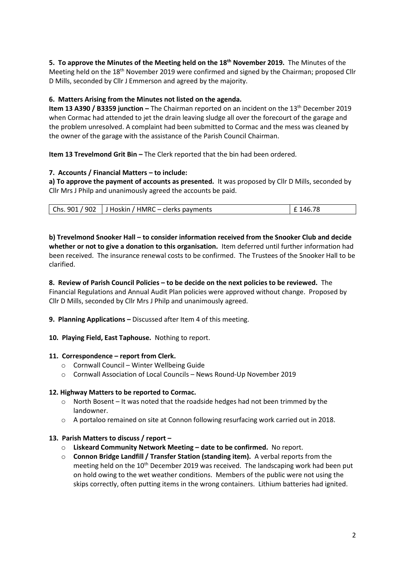**5. To approve the Minutes of the Meeting held on the 18th November 2019.** The Minutes of the Meeting held on the 18th November 2019 were confirmed and signed by the Chairman; proposed Cllr D Mills, seconded by Cllr J Emmerson and agreed by the majority.

# **6. Matters Arising from the Minutes not listed on the agenda.**

**Item 13 A390 / B3359 junction –** The Chairman reported on an incident on the 13<sup>th</sup> December 2019 when Cormac had attended to jet the drain leaving sludge all over the forecourt of the garage and the problem unresolved. A complaint had been submitted to Cormac and the mess was cleaned by the owner of the garage with the assistance of the Parish Council Chairman.

**Item 13 Trevelmond Grit Bin –** The Clerk reported that the bin had been ordered.

## **7. Accounts / Financial Matters – to include:**

**a) To approve the payment of accounts as presented.** It was proposed by Cllr D Mills, seconded by Cllr Mrs J Philp and unanimously agreed the accounts be paid.

| $\vert$ Chs. 901 / 902 $\vert$ J Hoskin / HMRC – clerks payments | E 146.78 |
|------------------------------------------------------------------|----------|
|------------------------------------------------------------------|----------|

**b) Trevelmond Snooker Hall – to consider information received from the Snooker Club and decide whether or not to give a donation to this organisation.** Item deferred until further information had been received. The insurance renewal costs to be confirmed. The Trustees of the Snooker Hall to be clarified.

## **8. Review of Parish Council Policies – to be decide on the next policies to be reviewed.** The Financial Regulations and Annual Audit Plan policies were approved without change. Proposed by Cllr D Mills, seconded by Cllr Mrs J Philp and unanimously agreed.

- **9. Planning Applications –** Discussed after Item 4 of this meeting.
- **10. Playing Field, East Taphouse.** Nothing to report.

## **11. Correspondence – report from Clerk.**

- o Cornwall Council Winter Wellbeing Guide
- o Cornwall Association of Local Councils News Round-Up November 2019

## **12. Highway Matters to be reported to Cormac.**

- $\circ$  North Bosent It was noted that the roadside hedges had not been trimmed by the landowner.
- o A portaloo remained on site at Connon following resurfacing work carried out in 2018.

## **13. Parish Matters to discuss / report –**

- o **Liskeard Community Network Meeting – date to be confirmed.** No report.
- o **Connon Bridge Landfill / Transfer Station (standing item).** A verbal reports from the meeting held on the  $10^{th}$  December 2019 was received. The landscaping work had been put on hold owing to the wet weather conditions. Members of the public were not using the skips correctly, often putting items in the wrong containers. Lithium batteries had ignited.